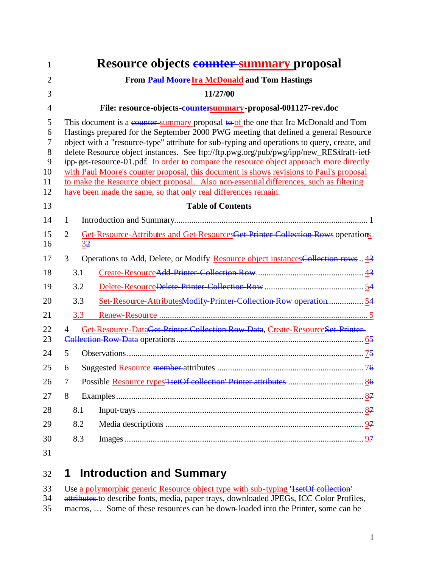| 1                                       |                                                                                                                                                                                                                                                                                                                                                                                                                                                                                                                                                                                                                                                                                                                          | <b>Resource objects counter summary proposal</b>                                    |  |  |  |  |
|-----------------------------------------|--------------------------------------------------------------------------------------------------------------------------------------------------------------------------------------------------------------------------------------------------------------------------------------------------------------------------------------------------------------------------------------------------------------------------------------------------------------------------------------------------------------------------------------------------------------------------------------------------------------------------------------------------------------------------------------------------------------------------|-------------------------------------------------------------------------------------|--|--|--|--|
| $\overline{2}$                          | From Paul Moore Ira McDonald and Tom Hastings                                                                                                                                                                                                                                                                                                                                                                                                                                                                                                                                                                                                                                                                            |                                                                                     |  |  |  |  |
| 3                                       |                                                                                                                                                                                                                                                                                                                                                                                                                                                                                                                                                                                                                                                                                                                          | 11/27/00                                                                            |  |  |  |  |
| $\overline{4}$                          | File: resource-objects-countersummary-proposal-001127-rev.doc                                                                                                                                                                                                                                                                                                                                                                                                                                                                                                                                                                                                                                                            |                                                                                     |  |  |  |  |
| 5<br>6<br>7<br>8<br>9<br>10<br>11<br>12 | This document is a counter-summary proposal to of the one that Ira McDonald and Tom<br>Hastings prepared for the September 2000 PWG meeting that defined a general Resource<br>object with a "resource-type" attribute for sub-typing and operations to query, create, and<br>delete Resource object instances. See ftp://ftp.pwg.org/pub/pwg/ipp/new_RES/draft-ietf-<br>ipp-get-resource-01.pdf. In order to compare the resource object approach more directly<br>with Paul Moore's counter proposal, this document is shows revisions to Paul's proposal<br>to make the Resource object proposal. Also non-essential differences, such as filtering<br>have been made the same, so that only real differences remain. |                                                                                     |  |  |  |  |
| 13                                      |                                                                                                                                                                                                                                                                                                                                                                                                                                                                                                                                                                                                                                                                                                                          | <b>Table of Contents</b>                                                            |  |  |  |  |
| 14                                      | $\mathbf{1}$                                                                                                                                                                                                                                                                                                                                                                                                                                                                                                                                                                                                                                                                                                             |                                                                                     |  |  |  |  |
| 15<br>16                                | $\overline{2}$<br>3 <sup>2</sup>                                                                                                                                                                                                                                                                                                                                                                                                                                                                                                                                                                                                                                                                                         | Get-Resource-Attributes and Get-ResourcesGet-Printer-Collection Rows operations     |  |  |  |  |
| 17                                      | 3                                                                                                                                                                                                                                                                                                                                                                                                                                                                                                                                                                                                                                                                                                                        | Operations to Add, Delete, or Modify Resource object instances Collection rows . 43 |  |  |  |  |
| 18                                      | 3.1                                                                                                                                                                                                                                                                                                                                                                                                                                                                                                                                                                                                                                                                                                                      |                                                                                     |  |  |  |  |
| 19                                      | 3.2                                                                                                                                                                                                                                                                                                                                                                                                                                                                                                                                                                                                                                                                                                                      |                                                                                     |  |  |  |  |
| 20                                      | 3.3                                                                                                                                                                                                                                                                                                                                                                                                                                                                                                                                                                                                                                                                                                                      | Set-Resource-AttributesModify Printer-Collection Row operation 54                   |  |  |  |  |
| 21                                      | 3.3                                                                                                                                                                                                                                                                                                                                                                                                                                                                                                                                                                                                                                                                                                                      |                                                                                     |  |  |  |  |
| 22<br>23                                | Get-Resource-DataGet-Printer-Collection-Row-Data, Create-ResourceSet-Printer-<br>4                                                                                                                                                                                                                                                                                                                                                                                                                                                                                                                                                                                                                                       |                                                                                     |  |  |  |  |
| 24                                      | 5                                                                                                                                                                                                                                                                                                                                                                                                                                                                                                                                                                                                                                                                                                                        |                                                                                     |  |  |  |  |
| 25                                      | 6                                                                                                                                                                                                                                                                                                                                                                                                                                                                                                                                                                                                                                                                                                                        |                                                                                     |  |  |  |  |
| 26                                      | 7                                                                                                                                                                                                                                                                                                                                                                                                                                                                                                                                                                                                                                                                                                                        |                                                                                     |  |  |  |  |
| 27                                      | 8                                                                                                                                                                                                                                                                                                                                                                                                                                                                                                                                                                                                                                                                                                                        |                                                                                     |  |  |  |  |
| 28                                      | 8.1                                                                                                                                                                                                                                                                                                                                                                                                                                                                                                                                                                                                                                                                                                                      |                                                                                     |  |  |  |  |
| 29                                      | 8.2                                                                                                                                                                                                                                                                                                                                                                                                                                                                                                                                                                                                                                                                                                                      |                                                                                     |  |  |  |  |
| 30                                      | 8.3                                                                                                                                                                                                                                                                                                                                                                                                                                                                                                                                                                                                                                                                                                                      |                                                                                     |  |  |  |  |
| 31                                      |                                                                                                                                                                                                                                                                                                                                                                                                                                                                                                                                                                                                                                                                                                                          |                                                                                     |  |  |  |  |

# **1 Introduction and Summary**

|    | 33 Use a polymorphic generic Resource object type with sub-typing 4 set Of collection      |
|----|--------------------------------------------------------------------------------------------|
|    | 34 attributes to describe fonts, media, paper trays, downloaded JPEGs, ICC Color Profiles, |
| 35 | macros,  Some of these resources can be down-loaded into the Printer, some can be          |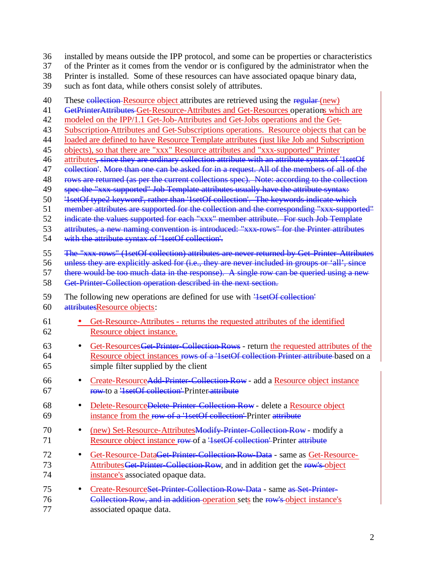- 36 installed by means outside the IPP protocol, and some can be properties or characteristics
- 37 of the Printer as it comes from the vendor or is configured by the administrator when the
- 38 Printer is installed. Some of these resources can have associated opaque binary data,
- 39 such as font data, while others consist solely of attributes.
- 40 These collection-Resource object attributes are retrieved using the regular (new) 41 GetPrinterAttributes-Get-Resource-Attributes and Get-Resources operations which are 42 modeled on the IPP/1.1 Get-Job-Attributes and Get-Jobs operations and the Get-43 Subscription-Attributes and Get-Subscriptions operations. Resource objects that can be 44 loaded are defined to have Resource Template attributes (just like Job and Subscription 45 objects), so that there are "xxx" Resource attributes and "xxx-supported" Printer 46 attributes, since they are ordinary collection attribute with an attribute syntax of '1setOf 47 collection'. More than one can be asked for in a request. All of the members of all of the 48 rows are returned (as per the current collections spec). Note: according to the collection 49 spec the "xxx-supported" Job Template attributes usually have the attribute syntax: 50 '1setOf type2 keyword', rather than '1setOf collection'. The keywords indicate which 51 member attributes are supported for the collection and the corresponding "xxx-supported" 52 indicate the values supported for each "xxx" member attribute. For such Job Template 53 attributes, a new naming convention is introduced: "xxx-rows" for the Printer attributes 54 with the attribute syntax of '1setOf collection'. 55 The "xxx-rows" (1setOf collection) attributes are never returned by Get-Printer-Attributes 56 unless they are explicitly asked for (i.e., they are never included in groups or 'all', since<br>57 there would be too much data in the response). A single row can be queried using a new there would be too much data in the response). A single row can be queried using a new 58 Get-Printer-Collection operation described in the next section. 59 The following new operations are defined for use with '<del>1setOf collection'</del> 60 attributesResource objects: 61 • Get-Resource-Attributes - returns the requested attributes of the identified 62 Resource object instance. 63 • Get-Resources Get-Printer-Collection-Rows - return the requested attributes of the 64 Resource object instances rows of a '1setOf collection Printer attribute based on a 65 simple filter supplied by the client 66 • Create-ResourceAdd-Printer-Collection-Row - add a Resource object instance 67 row to a '1setOf collection' Printer attribute 68 • Delete-ResourceDelete-Printer-Collection-Row - delete a Resource object 69 instance from the row of a '1setOf collection' Printer attribute 70 • (new) Set-Resource-Attributes Modify-Printer-Collection-Row - modify a 71 Resource object instance row of a '<del>1setOf collection'</del> Printer attribute 72 • Get-Resource-DataGet-Printer-Collection-Row-Data - same as Get-Resource-73 Attributes Get-Printer-Collection-Row, and in addition get the row's object 74 instance's associated opaque data. 75 • Create-ResourceSet-Printer-Collection-Row-Data - same as Set-Printer-76 Collection-Row, and in addition operation sets the row's object instance's 77 associated opaque data.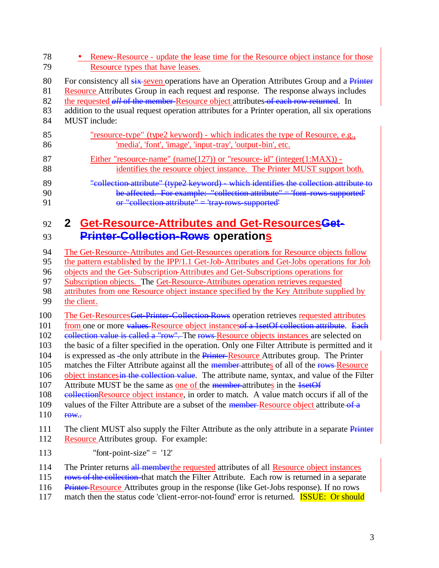| 78  | Renew-Resource - update the lease time for the Resource object instance for those               |  |  |  |  |
|-----|-------------------------------------------------------------------------------------------------|--|--|--|--|
| 79  | Resource types that have leases.                                                                |  |  |  |  |
| 80  | For consistency all six-seven operations have an Operation Attributes Group and a Printer       |  |  |  |  |
| 81  | Resource Attributes Group in each request and response. The response always includes            |  |  |  |  |
| 82  | the requested all of the member-Resource object attributes-of each row returned. In             |  |  |  |  |
| 83  | addition to the usual request operation attributes for a Printer operation, all six operations  |  |  |  |  |
| 84  | <b>MUST</b> include:                                                                            |  |  |  |  |
| 85  | "resource-type" (type2 keyword) - which indicates the type of Resource, e.g.,                   |  |  |  |  |
| 86  | 'media', 'font', 'image', 'input-tray', 'output-bin', etc.                                      |  |  |  |  |
| 87  | Either "resource-name" (name(127)) or "resource-id" (integer(1:MAX)) -                          |  |  |  |  |
| 88  | identifies the resource object instance. The Printer MUST support both.                         |  |  |  |  |
| 89  | "collection attribute" (type2 keyword) - which identifies the collection attribute to           |  |  |  |  |
| 90  | be affected. For example: "collection attribute" = 'font-rows supported'                        |  |  |  |  |
| 91  | or "collection attribute" = 'tray rows supported'                                               |  |  |  |  |
| 92  | 2 Get-Resource-Attributes and Get-ResourcesGet-                                                 |  |  |  |  |
| 93  | <b>Printer-Collection-Rows operations</b>                                                       |  |  |  |  |
| 94  | The Get-Resource-Attributes and Get-Resources operations for Resource objects follow            |  |  |  |  |
| 95  | the pattern established by the IPP/1.1 Get-Job-Attributes and Get-Jobs operations for Job       |  |  |  |  |
| 96  | objects and the Get-Subscription-Attributes and Get-Subscriptions operations for                |  |  |  |  |
| 97  | Subscription objects. The Get-Resource-Attributes operation retrieves requested                 |  |  |  |  |
| 98  | attributes from one Resource object instance specified by the Key Attribute supplied by         |  |  |  |  |
| 99  | the client.                                                                                     |  |  |  |  |
| 100 | The Get-Resources Get-Printer-Collection-Rows operation retrieves requested attributes          |  |  |  |  |
| 101 | from one or more values Resource object instances a 1 set Of collection attribute. Each         |  |  |  |  |
| 102 | collection value is called a "row". The rows-Resource objects instances are selected on         |  |  |  |  |
| 103 | the basic of a filter specified in the operation. Only one Filter Attribute is permitted and it |  |  |  |  |
| 104 | is expressed as -the only attribute in the Printer-Resource Attributes group. The Printer       |  |  |  |  |
| 105 | matches the Filter Attribute against all the member-attributes of all of the rows-Resource      |  |  |  |  |
| 106 | object instances in the collection value. The attribute name, syntax, and value of the Filter   |  |  |  |  |
| 107 | Attribute MUST be the same as one of the member-attributes in the 1setOf                        |  |  |  |  |
| 108 | eollectionResource object instance, in order to match. A value match occurs if all of the       |  |  |  |  |
| 109 | values of the Filter Attribute are a subset of the member-Resource object attribute-of a        |  |  |  |  |
| 110 | f <sub>0</sub> W.                                                                               |  |  |  |  |
| 111 | The client MUST also supply the Filter Attribute as the only attribute in a separate Printer    |  |  |  |  |
| 112 | Resource Attributes group. For example:                                                         |  |  |  |  |
| 113 | "font-point-size" = $'12'$                                                                      |  |  |  |  |
| 114 | The Printer returns all memberthe requested attributes of all Resource object instances         |  |  |  |  |
| 115 | rows of the collection-that match the Filter Attribute. Each row is returned in a separate      |  |  |  |  |
| 116 | Printer Resource Attributes group in the response (like Get-Jobs response). If no rows          |  |  |  |  |
| 117 | match then the status code 'client-error-not-found' error is returned. <b>ISSUE: Or should</b>  |  |  |  |  |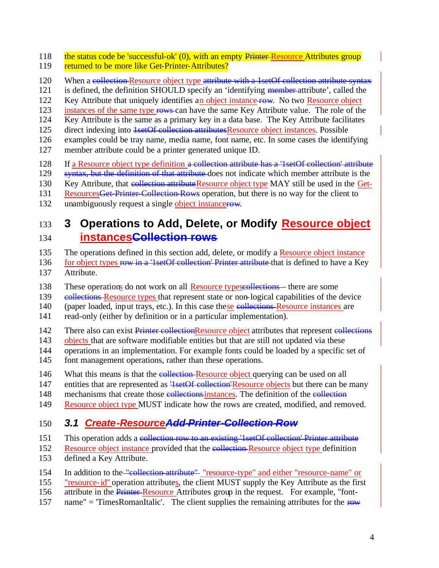- 118 the status code be 'successful-ok' (0), with an empty Printer-Resource Attributes group
- 119 returned to be more like Get-Printer-Attributes?
- 120 When a collection-Resource object type attribute with a 1setOf collection attribute syntax
- 121 is defined, the definition SHOULD specify an 'identifying member attribute', called the
- 122 Key Attribute that uniquely identifies an object instance row. No two Resource object
- 123 instances of the same type rows can have the same Key Attribute value. The role of the
- 124 Key Attribute is the same as a primary key in a data base. The Key Attribute facilitates
- 125 direct indexing into 1setOf collection attributesResource object instances. Possible
- 126 examples could be tray name, media name, font name, etc. In some cases the identifying 127 member attribute could be a printer generated unique ID.
- 128 If a Resource object type definition a collection attribute has a '1setOf collection' attribute
- 129 syntax, but the definition of that attribute does not indicate which member attribute is the
- 130 Key Attribute, that collection attribute Resource object type MAY still be used in the Get-
- 131 Resources Get-Printer-Collection-Rows operation, but there is no way for the client to
- 132 unambiguously request a single object instancerow.

# 133 **3 Operations to Add, Delete, or Modify Resource object**  134 **instancesCollection rows**

- 135 The operations defined in this section add, delete, or modify a Resource object instance
- 136 for object types row in a '1setOf collection' Printer attribute that is defined to have a Key 137 Attribute.
- 138 These operations do not work on all Resource typescollections— there are some
- 139 e<del>ollections</del> Resource types that represent state or non-logical capabilities of the device
- 140 (paper loaded, input trays, etc.). In this case these collections Resource instances are
- 141 read-only (either by definition or in a particular implementation).
- 142 There also can exist Printer collectionResource object attributes that represent collections
- 143 objects that are software modifiable entities but that are still not updated via these
- 144 operations in an implementation. For example fonts could be loaded by a specific set of
- 145 font management operations, rather than these operations.
- 146 What this means is that the collection-Resource object querying can be used on all
- 147 entities that are represented as  $\frac{1}{3}$  set Of collection Resource objects but there can be many
- 148 mechanisms that create those collections instances. The definition of the collection
- 149 Resource object type MUST indicate how the rows are created, modified, and removed.

## 150 *3.1 Create-ResourceAdd-Printer-Collection-Row*

- 151 This operation adds a collection row to an existing '1setOf collection' Printer attribute
- 152 Resource object instance provided that the collection-Resource object type definition
- 153 defined a Key Attribute.
- 154 In addition to the "collection-attribute" resource-type" and either "resource-name" or
- 155 "resource-id" operation attributes, the client MUST supply the Key Attribute as the first
- 156 attribute in the **Printer-Resource** Attributes group in the request. For example, "font-
- 157 name" = 'TimesRomanItalic'. The client supplies the remaining attributes for the row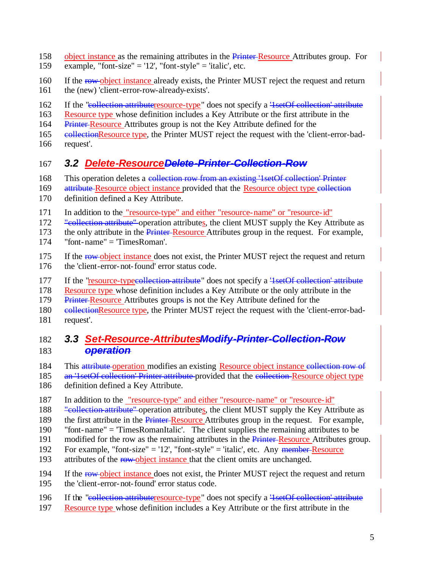- 158 object instance as the remaining attributes in the Printer-Resource Attributes group. For
- 159 example, "font-size" = '12', "font-style" = 'italic', etc.
- 160 If the row-object instance already exists, the Printer MUST reject the request and return 161 the (new) 'client-error-row-already-exists'.
- 162 If the "collection-attributeresource-type" does not specify a <del>'1setOf collection' attribute</del>
- 163 Resource type whose definition includes a Key Attribute or the first attribute in the
- 164 Printer Resource Attributes group is not the Key Attribute defined for the
- 165 eollectionResource type, the Printer MUST reject the request with the 'client-error-bad-
- 166 request'.

# 167 *3.2 Delete-ResourceDelete-Printer-Collection-Row*

- 168 This operation deletes a collection row from an existing '1setOf collection' Printer
- 169 attribute Resource object instance provided that the Resource object type collection
- 170 definition defined a Key Attribute.
- 171 In addition to the "resource-type" and either "resource-name" or "resource-id"

172 "**Evaluation-attribute"** operation attributes, the client MUST supply the Key Attribute as

173 the only attribute in the **Printer-Resource** Attributes group in the request. For example,

- 174 "font-name" = 'TimesRoman'.
- 175 If the row-object instance does not exist, the Printer MUST reject the request and return 176 the 'client-error-not-found' error status code.
- 177 If the "resource-typecollection-attribute" does not specify a <del>'1setOf collection' attribute</del>
- 178 Resource type whose definition includes a Key Attribute or the only attribute in the
- 179 Printer-Resource Attributes groups is not the Key Attribute defined for the
- 180 eollectionResource type, the Printer MUST reject the request with the 'client-error-bad-181 request'.

### 182 *3.3 Set-Resource-AttributesModify-Printer-Collection-Row*  183 *operation*

- 184 This attribute-operation modifies an existing Resource object instance collection row of
- 185 an '1setOf collection' Printer attribute provided that the collection Resource object type 186 definition defined a Key Attribute.
- 187 In addition to the "resource-type" and either "resource-name" or "resource-id"
- 188 "**Evillection attribute**" operation attributes, the client MUST supply the Key Attribute as
- 189 the first attribute in the Printer-Resource Attributes group in the request. For example,
- 190 "font-name" = 'TimesRomanItalic'. The client supplies the remaining attributes to be
- 191 modified for the row as the remaining attributes in the Printer-Resource Attributes group.
- 192 For example, "font-size" = '12', "font-style" = 'italic', etc. Any member Resource
- 193 attributes of the row-object instance that the client omits are unchanged.
- 194 If the row-object instance does not exist, the Printer MUST reject the request and return
- 195 the 'client-error-not-found' error status code.
- 196 If the "collection-attributeresource-type" does not specify a <del>'1setOf collection' attribute</del>
- 197 Resource type whose definition includes a Key Attribute or the first attribute in the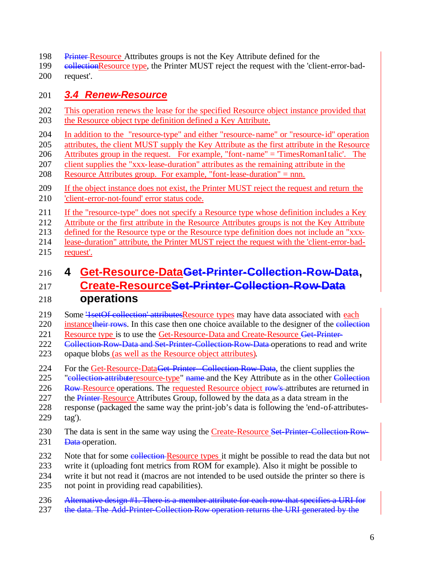- 198 Printer Resource Attributes groups is not the Key Attribute defined for the
- 199 eollectionResource type, the Printer MUST reject the request with the 'client-error-bad-request'.

#### *3.4 Renew-Resource*

- This operation renews the lease for the specified Resource object instance provided that the Resource object type definition defined a Key Attribute.
- In addition to the "resource-type" and either "resource-name" or "resource-id" operation
- attributes, the client MUST supply the Key Attribute as the first attribute in the Resource
- Attributes group in the request. For example, "font-name" = 'TimesRomanItalic'. The
- client supplies the "xxx-lease-duration" attributes as the remaining attribute in the
- Resource Attributes group. For example, "font-lease-duration" = nnn.
- If the object instance does not exist, the Printer MUST reject the request and return the 'client-error-not-found' error status code.
- If the "resource-type" does not specify a Resource type whose definition includes a Key
- Attribute or the first attribute in the Resource Attributes groups is not the Key Attribute
- defined for the Resource type or the Resource type definition does not include an "xxx-
- lease-duration" attribute, the Printer MUST reject the request with the 'client-error-bad-
- request'.

# **4 Get-Resource-DataGet-Printer-Collection-Row-Data,**

# **Create-ResourceSet-Printer-Collection-Row-Data**

# **operations**

- 219 Some '<del>1setOf collection' attributesResource types</del> may have data associated with each 220 instance their rows. In this case then one choice available to the designer of the collection
- 221 Resource type is to use the Get-Resource-Data and Create-Resource Get-Printer-
- 222 Collection-Row-Data and Set-Printer-Collection-Row-Data operations to read and write
- opaque blobs (as well as the Resource object attributes).
- 224 For the Get-Resource-Data<del>Get-Printer-Collection-Row-Data</del>, the client supplies the
- 225 "eollection attributeresource-type" name and the Key Attribute as in the other Collection
- 226 Row Resource operations. The requested Resource object row's attributes are returned in
- 227 the Printer-Resource Attributes Group, followed by the data as a data stream in the
- response (packaged the same way the print-job's data is following the 'end-of-attributes-tag').
- 230 The data is sent in the same way using the Create-Resource Set-Printer-Collection-Row-231 <del>Data</del> operation.
- 232 Note that for some collection-Resource types it might be possible to read the data but not
- write it (uploading font metrics from ROM for example). Also it might be possible to
- write it but not read it (macros are not intended to be used outside the printer so there is
- not point in providing read capabilities).
- 236 Alternative design #1. There is a member attribute for each row that specifies a URI for
- 237 the data. The Add-Printer-Collection-Row operation returns the URI generated by the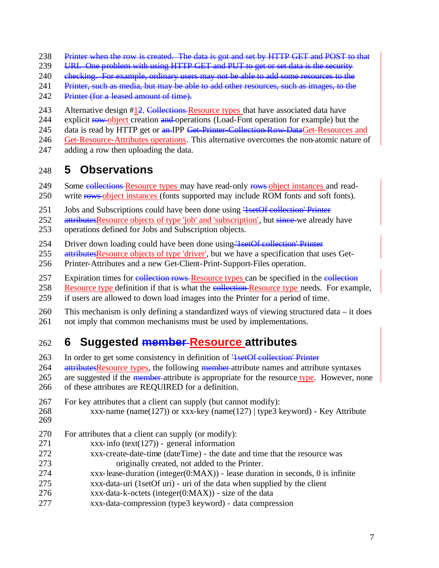- Printer when the row is created. The data is got and set by HTTP GET and POST to that
- 239 URI. One problem with using HTTP GET and PUT to get or set data is the security
- 240 ehecking. For example, ordinary users may not be able to add some resources to the
- 241 Printer, such as media, but may be able to add other resources, such as images, to the
- 242 Printer (for a leased amount of time).
- 243 Alternative design #12. Collections-Resource types that have associated data have
- 244 explicit row-object creation and operations (Load-Font operation for example) but the
- 245 data is read by HTTP get or an IPP Get-Printer-Collection-Row-DataGet-Resources and
- Get-Resource-Attributes operations. This alternative overcomes the non-atomic nature of
- adding a row then uploading the data.

### **5 Observations**

- 249 Some collections Resource types may have read-only rows object instances and read-
- 250 write rows-object instances (fonts supported may include ROM fonts and soft fonts).
- 251 Jobs and Subscriptions could have been done using 'lsetOf collection' Printer
- 252 attributesResource objects of type 'job' and 'subscription', but since-we already have
- operations defined for Jobs and Subscription objects.
- Driver down loading could have been done using '1setOf collection' Printer
- attributesResource objects of type 'driver', but we have a specification that uses Get-
- Printer-Attributes and a new Get-Client-Print-Support-Files operation.
- 257 Expiration times for collection rows-Resource types can be specified in the collection
- 258 Resource type definition if that is what the **collection-Resource type** needs. For example,
- if users are allowed to down load images into the Printer for a period of time.
- This mechanism is only defining a standardized ways of viewing structured data it does not imply that common mechanisms must be used by implementations.

# **6 Suggested member Resource attributes**

- In order to get some consistency in definition of '1setOf collection' Printer
- 264 attributesResource types, the following member attribute names and attribute syntaxes 265 are suggested if the <del>member</del>-attribute is appropriate for the resource type. However, none
- of these attributes are REQUIRED for a definition.
- For key attributes that a client can supply (but cannot modify):
- xxx-name (name(127)) or xxx-key (name(127) | type3 keyword) Key Attribute
- 
- For attributes that a client can supply (or modify):
- xxx-info (text(127)) general information
- xxx-create-date-time (dateTime) the date and time that the resource was originally created, not added to the Printer.
- xxx-lease-duration (integer(0:MAX)) lease duration in seconds, 0 is infinite
- xxx-data-uri (1setOf uri) uri of the data when supplied by the client
- xxx-data-k-octets (integer(0:MAX)) size of the data
- xxx-data-compression (type3 keyword) data compression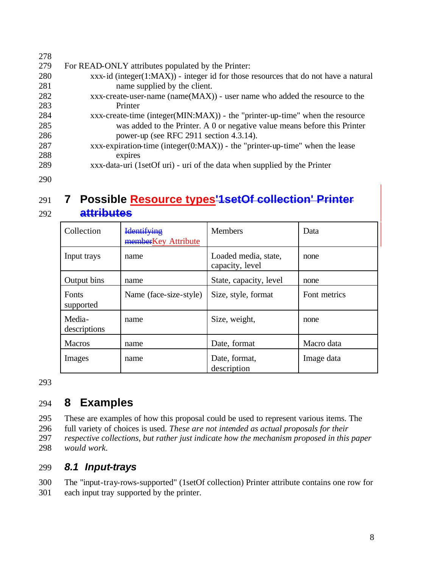| 278 |                                                                                         |
|-----|-----------------------------------------------------------------------------------------|
| 279 | For READ-ONLY attributes populated by the Printer:                                      |
| 280 | $xxxx$ -id (integer(1:MAX)) - integer id for those resources that do not have a natural |
| 281 | name supplied by the client.                                                            |
| 282 | $xxx$ -create-user-name (name $(MAX)$ ) - user name who added the resource to the       |
| 283 | Printer                                                                                 |
| 284 | $xxx$ -create-time (integer(MIN:MAX)) - the "printer-up-time" when the resource         |
| 285 | was added to the Printer. A 0 or negative value means before this Printer               |
| 286 | power-up (see RFC 2911 section 4.3.14).                                                 |
| 287 | xxx-expiration-time (integer( $0:MAX$ )) - the "printer-up-time" when the lease         |
| 288 | expires                                                                                 |
| 289 | xxx-data-uri (1setOf uri) - uri of the data when supplied by the Printer                |
| 290 |                                                                                         |

# 291 **7 Possible Resource types'1setOf collection' Printer**  292 **attributes**

| Collection             | <b>Identifying</b><br>memberKey Attribute | <b>Members</b>                          | Data         |
|------------------------|-------------------------------------------|-----------------------------------------|--------------|
| Input trays            | name                                      | Loaded media, state,<br>capacity, level | none         |
| Output bins            | name                                      | State, capacity, level                  | none         |
| Fonts<br>supported     | Name (face-size-style)                    | Size, style, format                     | Font metrics |
| Media-<br>descriptions | name                                      | Size, weight,                           | none         |
| <b>Macros</b>          | name                                      | Date, format                            | Macro data   |
| Images                 | name                                      | Date, format,<br>description            | Image data   |

293

# 294 **8 Examples**

 These are examples of how this proposal could be used to represent various items. The full variety of choices is used. *These are not intended as actual proposals for their respective collections, but rather just indicate how the mechanism proposed in this paper would work.*

#### 299 *8.1 Input-trays*

300 The "input-tray-rows-supported" (1setOf collection) Printer attribute contains one row for 301 each input tray supported by the printer.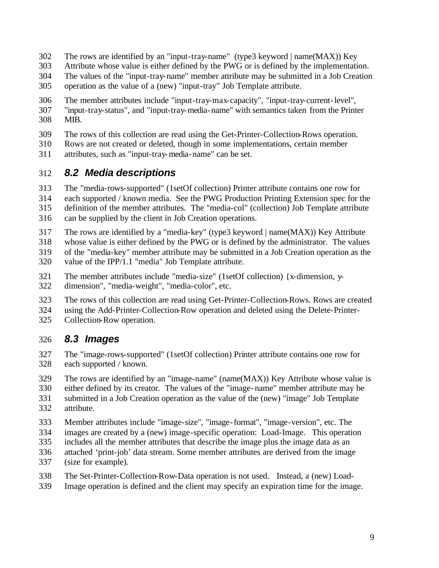- The rows are identified by an "input-tray-name" (type3 keyword | name(MAX)) Key
- Attribute whose value is either defined by the PWG or is defined by the implementation.
- The values of the "input-tray-name" member attribute may be submitted in a Job Creation
- operation as the value of a (new) "input-tray" Job Template attribute.
- The member attributes include "input-tray-max-capacity", "input-tray-current-level", "input-tray-status", and "input-tray-media-name" with semantics taken from the Printer MIB.
- The rows of this collection are read using the Get-Printer-Collection-Rows operation.
- Rows are not created or deleted, though in some implementations, certain member
- attributes, such as "input-tray-media-name" can be set.

### *8.2 Media descriptions*

- The "media-rows-supported" (1setOf collection) Printer attribute contains one row for
- each supported / known media. See the PWG Production Printing Extension spec for the
- definition of the member attributes. The "media-col" (collection) Job Template attribute
- can be supplied by the client in Job Creation operations.
- The rows are identified by a "media-key" (type3 keyword | name(MAX)) Key Attribute
- whose value is either defined by the PWG or is defined by the administrator. The values
- of the "media-key" member attribute may be submitted in a Job Creation operation as the
- value of the IPP/1.1 "media" Job Template attribute.
- The member attributes include "media-size" (1setOf collection) {x-dimension, y-
- dimension", "media-weight", "media-color", etc.
- The rows of this collection are read using Get-Printer-Collection-Rows. Rows are created
- using the Add-Printer-Collection-Row operation and deleted using the Delete-Printer-
- Collection-Row operation.

#### *8.3 Images*

- The "image-rows-supported" (1setOf collection) Printer attribute contains one row for each supported / known.
- The rows are identified by an "image-name" (name(MAX)) Key Attribute whose value is
- either defined by its creator. The values of the "image-name" member attribute may be
- submitted in a Job Creation operation as the value of the (new) "image" Job Template attribute.
- Member attributes include "image-size", "image-format", "image-version", etc. The
- images are created by a (new) image-specific operation: Load-Image. This operation
- includes all the member attributes that describe the image plus the image data as an
- attached 'print-job' data stream. Some member attributes are derived from the image
- (size for example).
- The Set-Printer-Collection-Row-Data operation is not used. Instead, a (new) Load-
- Image operation is defined and the client may specify an expiration time for the image.